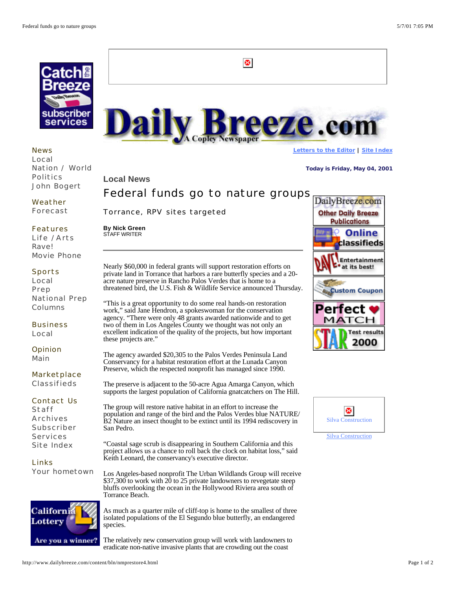

News Local Nation / World Politics John Bogert

Weather Forecast

## Features

Life /Arts **Ravel** Movie Phone

## Sports

Local Prep National Prep Columns

**Business** Local

**Opinion** Main

Marketplace Classifieds

Contact Us

Staff Archives Subscriber Services Site Index

Links Your hometown



As much as a quarter mile of cliff-top is home to the smallest of three isolated populations of the El Segundo blue butterfly, an endangered species.

The relatively new conservation group will work with landowners to eradicate non-native invasive plants that are crowding out the coast



 $\bullet$ 

**Today is Friday, May 04, 2001**

DailyBreeze.com **Other Daily Breeze** Publications

> Online classifieds

Entertainment

**Local News**

## Federal funds go to nature groups

Torrance, RPV sites targeted

**By Nick Green**  STAFF WRITER

Nearly \$60,000 in federal grants will support restoration efforts on private land in Torrance that harbors a rare butterfly species and a 20 acre nature preserve in Rancho Palos Verdes that is home to a threatened bird, the U.S. Fish & Wildlife Service announced Thursday.

"This is a great opportunity to do some real hands-on restoration work," said Jane Hendron, a spokeswoman for the conservation agency. "There were only 48 grants awarded nationwide and to get two of them in Los Angeles County we thought was not only an excellent indication of the quality of the projects, but how important these projects are."

The agency awarded \$20,305 to the Palos Verdes Peninsula Land Conservancy for a habitat restoration effort at the Lunada Canyon Preserve, which the respected nonprofit has managed since 1990.

The preserve is adjacent to the 50-acre Agua Amarga Canyon, which supports the largest population of California gnatcatchers on The Hill.

The group will restore native habitat in an effort to increase the population and range of the bird and the Palos Verdes blue NATURE/ B2 Nature an insect thought to be extinct until its 1994 rediscovery in San Pedro.

"Coastal sage scrub is disappearing in Southern California and this project allows us a chance to roll back the clock on habitat loss," said Keith Leonard, the conservancy's executive director.

Los Angeles-based nonprofit The Urban Wildlands Group will receive  $$37,300$  to work with  $20$  to 25 private landowners to revegetate steep bluffs overlooking the ocean in the Hollywood Riviera area south of Torrance Beach.